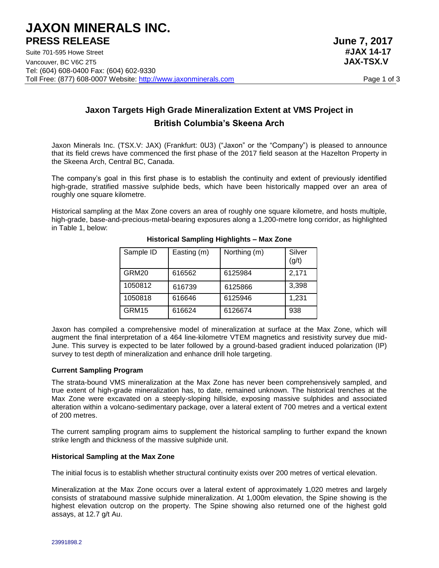# **Jaxon Targets High Grade Mineralization Extent at VMS Project in British Columbia's Skeena Arch**

Jaxon Minerals Inc. (TSX.V: JAX) (Frankfurt: 0U3) ("Jaxon" or the "Company") is pleased to announce that its field crews have commenced the first phase of the 2017 field season at the Hazelton Property in the Skeena Arch, Central BC, Canada.

The company's goal in this first phase is to establish the continuity and extent of previously identified high-grade, stratified massive sulphide beds, which have been historically mapped over an area of roughly one square kilometre.

Historical sampling at the Max Zone covers an area of roughly one square kilometre, and hosts multiple, high-grade, base-and-precious-metal-bearing exposures along a 1,200-metre long corridor, as highlighted in Table 1, below:

| Sample ID | Easting (m) | Northing (m) | Silver<br>(g/t) |
|-----------|-------------|--------------|-----------------|
| GRM20     | 616562      | 6125984      | 2,171           |
| 1050812   | 616739      | 6125866      | 3,398           |
| 1050818   | 616646      | 6125946      | 1,231           |
| GRM15     | 616624      | 6126674      | 938             |

## **Historical Sampling Highlights – Max Zone**

Jaxon has compiled a comprehensive model of mineralization at surface at the Max Zone, which will augment the final interpretation of a 464 line-kilometre VTEM magnetics and resistivity survey due mid-June. This survey is expected to be later followed by a ground-based gradient induced polarization (IP) survey to test depth of mineralization and enhance drill hole targeting.

### **Current Sampling Program**

The strata-bound VMS mineralization at the Max Zone has never been comprehensively sampled, and true extent of high-grade mineralization has, to date, remained unknown. The historical trenches at the Max Zone were excavated on a steeply-sloping hillside, exposing massive sulphides and associated alteration within a volcano-sedimentary package, over a lateral extent of 700 metres and a vertical extent of 200 metres.

The current sampling program aims to supplement the historical sampling to further expand the known strike length and thickness of the massive sulphide unit.

#### **Historical Sampling at the Max Zone**

The initial focus is to establish whether structural continuity exists over 200 metres of vertical elevation.

Mineralization at the Max Zone occurs over a lateral extent of approximately 1,020 metres and largely consists of stratabound massive sulphide mineralization. At 1,000m elevation, the Spine showing is the highest elevation outcrop on the property. The Spine showing also returned one of the highest gold assays, at 12.7 g/t Au.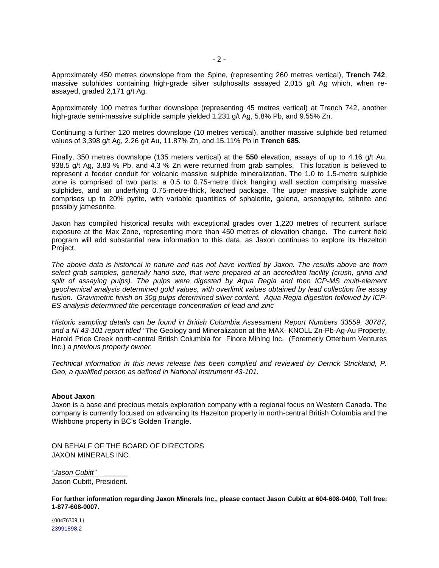Approximately 450 metres downslope from the Spine, (representing 260 metres vertical), **Trench 742**, massive sulphides containing high-grade silver sulphosalts assayed 2,015 g/t Ag which, when reassayed, graded 2,171 g/t Ag.

Approximately 100 metres further downslope (representing 45 metres vertical) at Trench 742, another high-grade semi-massive sulphide sample yielded 1,231 g/t Ag, 5.8% Pb, and 9.55% Zn.

Continuing a further 120 metres downslope (10 metres vertical), another massive sulphide bed returned values of 3,398 g/t Ag, 2.26 g/t Au, 11.87% Zn, and 15.11% Pb in **Trench 685**.

Finally, 350 metres downslope (135 meters vertical) at the **550** elevation, assays of up to 4.16 g/t Au, 938.5 g/t Ag, 3.83 % Pb, and 4.3 % Zn were returned from grab samples. This location is believed to represent a feeder conduit for volcanic massive sulphide mineralization. The 1.0 to 1.5-metre sulphide zone is comprised of two parts: a 0.5 to 0.75-metre thick hanging wall section comprising massive sulphides, and an underlying 0.75-metre-thick, leached package. The upper massive sulphide zone comprises up to 20% pyrite, with variable quantities of sphalerite, galena, arsenopyrite, stibnite and possibly jamesonite.

Jaxon has compiled historical results with exceptional grades over 1,220 metres of recurrent surface exposure at the Max Zone, representing more than 450 metres of elevation change. The current field program will add substantial new information to this data, as Jaxon continues to explore its Hazelton Project.

The above data is historical in nature and has not have verified by Jaxon. The results above are from *select grab samples, generally hand size, that were prepared at an accredited facility (crush, grind and split of assaying pulps). The pulps were digested by Aqua Regia and then ICP-MS multi-element geochemical analysis determined gold values, with overlimit values obtained by lead collection fire assay fusion. Gravimetric finish on 30g pulps determined silver content. Aqua Regia digestion followed by ICP-ES analysis determined the percentage concentration of lead and zinc*

*Historic sampling details can be found in British Columbia Assessment Report Numbers 33559, 30787, and a NI 43-101 report titled "T*he Geology and Mineralization at the MAX- KNOLL Zn-Pb-Ag-Au Property, Harold Price Creek north-central British Columbia for Finore Mining Inc. (Foremerly Otterburn Ventures Inc.) *a previous property owner.*

*Technical information in this news release has been complied and reviewed by Derrick Strickland, P. Geo, a qualified person as defined in National Instrument 43-101.*

#### **About Jaxon**

Jaxon is a base and precious metals exploration company with a regional focus on Western Canada. The company is currently focused on advancing its Hazelton property in north-central British Columbia and the Wishbone property in BC's Golden Triangle.

ON BEHALF OF THE BOARD OF DIRECTORS JAXON MINERALS INC.

*"Jason Cubitt" \_\_\_\_\_\_* Jason Cubitt, President.

**For further information regarding Jaxon Minerals Inc., please contact Jason Cubitt at 604-608-0400, Toll free: 1-877-608-0007.**

{00476309;1} 23991898.2